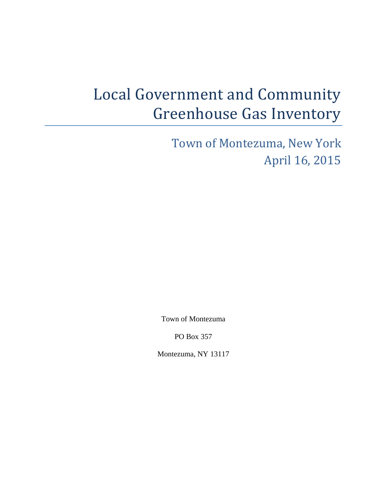# Local Government and Community Greenhouse Gas Inventory

Town of Montezuma, New York April 16, 2015

Town of Montezuma

PO Box 357

Montezuma, NY 13117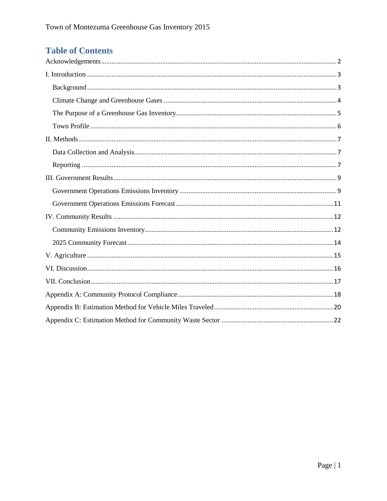## **Table of Contents**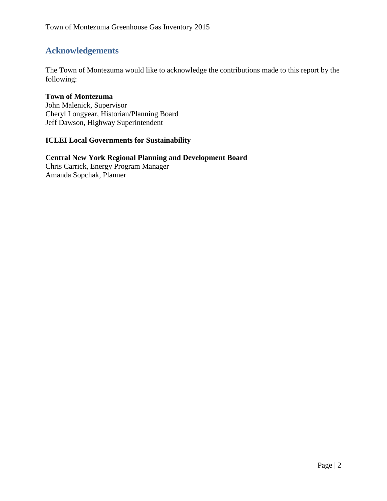## <span id="page-2-0"></span>**Acknowledgements**

The Town of Montezuma would like to acknowledge the contributions made to this report by the following:

#### **Town of Montezuma**

John Malenick, Supervisor Cheryl Longyear, Historian/Planning Board Jeff Dawson, Highway Superintendent

#### **ICLEI Local Governments for Sustainability**

## **Central New York Regional Planning and Development Board**

Chris Carrick, Energy Program Manager Amanda Sopchak, Planner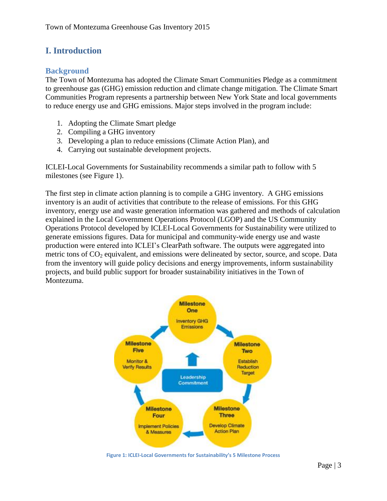## <span id="page-3-0"></span>**I. Introduction**

#### <span id="page-3-1"></span>**Background**

The Town of Montezuma has adopted the Climate Smart Communities Pledge as a commitment to greenhouse gas (GHG) emission reduction and climate change mitigation. The Climate Smart Communities Program represents a partnership between New York State and local governments to reduce energy use and GHG emissions. Major steps involved in the program include:

- 1. Adopting the Climate Smart pledge
- 2. Compiling a GHG inventory
- 3. Developing a plan to reduce emissions (Climate Action Plan), and
- 4. Carrying out sustainable development projects.

ICLEI-Local Governments for Sustainability recommends a similar path to follow with 5 milestones (see Figure 1).

The first step in climate action planning is to compile a GHG inventory. A GHG emissions inventory is an audit of activities that contribute to the release of emissions. For this GHG inventory, energy use and waste generation information was gathered and methods of calculation explained in the Local Government Operations Protocol (LGOP) and the US Community Operations Protocol developed by ICLEI-Local Governments for Sustainability were utilized to generate emissions figures. Data for municipal and community-wide energy use and waste production were entered into ICLEI's ClearPath software. The outputs were aggregated into metric tons of  $CO<sub>2</sub>$  equivalent, and emissions were delineated by sector, source, and scope. Data from the inventory will guide policy decisions and energy improvements, inform sustainability projects, and build public support for broader sustainability initiatives in the Town of Montezuma.



**Figure 1: ICLEI-Local Governments for Sustainability's 5 Milestone Process**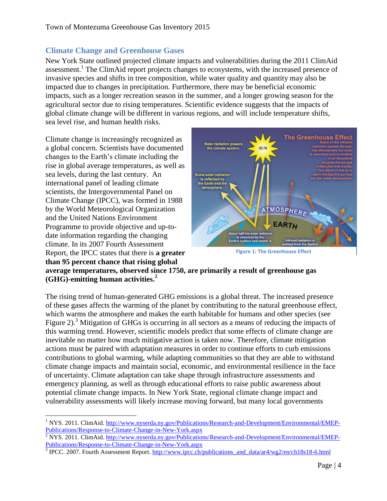### <span id="page-4-0"></span>**Climate Change and Greenhouse Gases**

New York State outlined projected climate impacts and vulnerabilities during the 2011 ClimAid assessment.<sup>1</sup> The ClimAid report projects changes to ecosystems, with the increased presence of invasive species and shifts in tree composition, while water quality and quantity may also be impacted due to changes in precipitation. Furthermore, there may be beneficial economic impacts, such as a longer recreation season in the summer, and a longer growing season for the agricultural sector due to rising temperatures. Scientific evidence suggests that the impacts of global climate change will be different in various regions, and will include temperature shifts, sea level rise, and human health risks.

Climate change is increasingly recognized as a global concern. Scientists have documented changes to the Earth's climate including the rise in global average temperatures, as well as sea levels, during the last century. An international panel of leading climate scientists, the Intergovernmental Panel on Climate Change (IPCC), was formed in 1988 by the World Meteorological Organization and the United Nations Environment Programme to provide objective and up-todate information regarding the changing climate. In its 2007 Fourth Assessment Report, the IPCC states that there is **a greater than 95 percent chance that rising global** 



**Figure 1: The Greenhouse Effect**

**average temperatures, observed since 1750, are primarily a result of greenhouse gas (GHG)-emitting human activities.<sup>2</sup>**

The rising trend of human-generated GHG emissions is a global threat. The increased presence of these gases affects the warming of the planet by contributing to the natural greenhouse effect, which warms the atmosphere and makes the earth habitable for humans and other species (see Figure 2).<sup>3</sup> Mitigation of GHGs is occurring in all sectors as a means of reducing the impacts of this warming trend. However, scientific models predict that some effects of climate change are inevitable no matter how much mitigative action is taken now. Therefore, climate mitigation actions must be paired with adaptation measures in order to continue efforts to curb emissions contributions to global warming, while adapting communities so that they are able to withstand climate change impacts and maintain social, economic, and environmental resilience in the face of uncertainty. Climate adaptation can take shape through infrastructure assessments and emergency planning, as well as through educational efforts to raise public awareness about potential climate change impacts. In New York State, regional climate change impact and vulnerability assessments will likely increase moving forward, but many local governments

 $\overline{a}$ <sup>1</sup> NYS. 2011. ClimAid. [http://www.nyserda.ny.gov/Publications/Research-and-Development/Environmental/EMEP-](http://www.nyserda.ny.gov/Publications/Research-and-Development/Environmental/EMEP-Publications/Response-to-Climate-Change-in-New-York.aspx)[Publications/Response-to-Climate-Change-in-New-York.aspx](http://www.nyserda.ny.gov/Publications/Research-and-Development/Environmental/EMEP-Publications/Response-to-Climate-Change-in-New-York.aspx)

 $\frac{2}{3}$  NYS. 2011. ClimAid. [http://www.nyserda.ny.gov/Publications/Research-and-Development/Environmental/EMEP-](http://www.nyserda.ny.gov/Publications/Research-and-Development/Environmental/EMEP-Publications/Response-to-Climate-Change-in-New-York.aspx)[Publications/Response-to-Climate-Change-in-New-York.aspx](http://www.nyserda.ny.gov/Publications/Research-and-Development/Environmental/EMEP-Publications/Response-to-Climate-Change-in-New-York.aspx)

<sup>&</sup>lt;sup>3</sup> IPCC. 2007. Fourth Assessment Report. [http://www.ipcc.ch/publications\\_and\\_data/ar4/wg2/en/ch18s18-6.html](http://www.ipcc.ch/publications_and_data/ar4/wg2/en/ch18s18-6.html)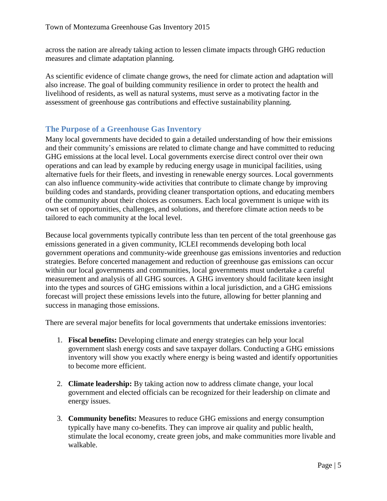across the nation are already taking action to lessen climate impacts through GHG reduction measures and climate adaptation planning.

As scientific evidence of climate change grows, the need for climate action and adaptation will also increase. The goal of building community resilience in order to protect the health and livelihood of residents, as well as natural systems, must serve as a motivating factor in the assessment of greenhouse gas contributions and effective sustainability planning.

#### <span id="page-5-0"></span>**The Purpose of a Greenhouse Gas Inventory**

Many local governments have decided to gain a detailed understanding of how their emissions and their community's emissions are related to climate change and have committed to reducing GHG emissions at the local level. Local governments exercise direct control over their own operations and can lead by example by reducing energy usage in municipal facilities, using alternative fuels for their fleets, and investing in renewable energy sources. Local governments can also influence community-wide activities that contribute to climate change by improving building codes and standards, providing cleaner transportation options, and educating members of the community about their choices as consumers. Each local government is unique with its own set of opportunities, challenges, and solutions, and therefore climate action needs to be tailored to each community at the local level.

Because local governments typically contribute less than ten percent of the total greenhouse gas emissions generated in a given community, ICLEI recommends developing both local government operations and community-wide greenhouse gas emissions inventories and reduction strategies. Before concerted management and reduction of greenhouse gas emissions can occur within our local governments and communities, local governments must undertake a careful measurement and analysis of all GHG sources. A GHG inventory should facilitate keen insight into the types and sources of GHG emissions within a local jurisdiction, and a GHG emissions forecast will project these emissions levels into the future, allowing for better planning and success in managing those emissions.

There are several major benefits for local governments that undertake emissions inventories:

- 1. **Fiscal benefits:** Developing climate and energy strategies can help your local government slash energy costs and save taxpayer dollars. Conducting a GHG emissions inventory will show you exactly where energy is being wasted and identify opportunities to become more efficient.
- 2. **Climate leadership:** By taking action now to address climate change, your local government and elected officials can be recognized for their leadership on climate and energy issues.
- 3. **Community benefits:** Measures to reduce GHG emissions and energy consumption typically have many co-benefits. They can improve air quality and public health, stimulate the local economy, create green jobs, and make communities more livable and walkable.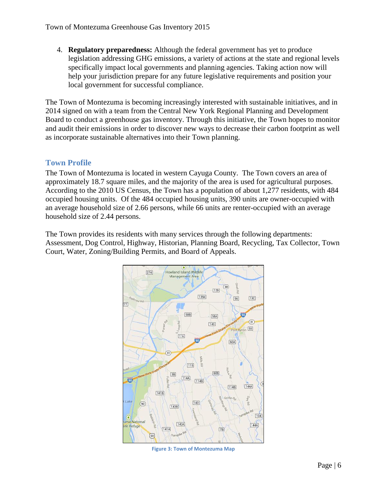4. **Regulatory preparedness:** Although the federal government has yet to produce legislation addressing GHG emissions, a variety of actions at the state and regional levels specifically impact local governments and planning agencies. Taking action now will help your jurisdiction prepare for any future legislative requirements and position your local government for successful compliance.

The Town of Montezuma is becoming increasingly interested with sustainable initiatives, and in 2014 signed on with a team from the Central New York Regional Planning and Development Board to conduct a greenhouse gas inventory. Through this initiative, the Town hopes to monitor and audit their emissions in order to discover new ways to decrease their carbon footprint as well as incorporate sustainable alternatives into their Town planning.

#### <span id="page-6-0"></span>**Town Profile**

The Town of Montezuma is located in western Cayuga County. The Town covers an area of approximately 18.7 square miles, and the majority of the area is used for agricultural purposes. According to the 2010 US Census, the Town has a population of about 1,277 residents, with 484 occupied housing units. Of the 484 occupied housing units, 390 units are owner-occupied with an average household size of 2.66 persons, while 66 units are renter-occupied with an average household size of 2.44 persons.

The Town provides its residents with many services through the following departments: Assessment, Dog Control, Highway, Historian, Planning Board, Recycling, Tax Collector, Town Court, Water, Zoning/Building Permits, and Board of Appeals.



**Figure 3: Town of Montezuma Map**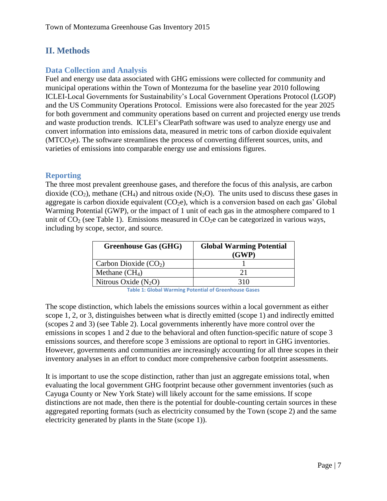## <span id="page-7-0"></span>**II. Methods**

#### <span id="page-7-1"></span>**Data Collection and Analysis**

Fuel and energy use data associated with GHG emissions were collected for community and municipal operations within the Town of Montezuma for the baseline year 2010 following ICLEI-Local Governments for Sustainability's Local Government Operations Protocol (LGOP) and the US Community Operations Protocol. Emissions were also forecasted for the year 2025 for both government and community operations based on current and projected energy use trends and waste production trends. ICLEI's ClearPath software was used to analyze energy use and convert information into emissions data, measured in metric tons of carbon dioxide equivalent (MTCO<sub>2</sub>e). The software streamlines the process of converting different sources, units, and varieties of emissions into comparable energy use and emissions figures.

#### <span id="page-7-2"></span>**Reporting**

The three most prevalent greenhouse gases, and therefore the focus of this analysis, are carbon dioxide  $(CO_2)$ , methane  $(CH_4)$  and nitrous oxide  $(N_2O)$ . The units used to discuss these gases in aggregate is carbon dioxide equivalent  $(CO<sub>2</sub>e)$ , which is a conversion based on each gas' Global Warming Potential (GWP), or the impact of 1 unit of each gas in the atmosphere compared to 1 unit of  $CO<sub>2</sub>$  (see Table 1). Emissions measured in  $CO<sub>2</sub>e$  can be categorized in various ways, including by scope, sector, and source.

| <b>Greenhouse Gas (GHG)</b> | <b>Global Warming Potential</b><br>(GWP) |
|-----------------------------|------------------------------------------|
| Carbon Dioxide $(CO2)$      |                                          |
| Methane $(CH_4)$            | 21                                       |
| Nitrous Oxide $(N_2O)$      | 310                                      |

**Table 1: Global Warming Potential of Greenhouse Gases**

The scope distinction, which labels the emissions sources within a local government as either scope 1, 2, or 3, distinguishes between what is directly emitted (scope 1) and indirectly emitted (scopes 2 and 3) (see Table 2). Local governments inherently have more control over the emissions in scopes 1 and 2 due to the behavioral and often function-specific nature of scope 3 emissions sources, and therefore scope 3 emissions are optional to report in GHG inventories. However, governments and communities are increasingly accounting for all three scopes in their inventory analyses in an effort to conduct more comprehensive carbon footprint assessments.

It is important to use the scope distinction, rather than just an aggregate emissions total, when evaluating the local government GHG footprint because other government inventories (such as Cayuga County or New York State) will likely account for the same emissions. If scope distinctions are not made, then there is the potential for double-counting certain sources in these aggregated reporting formats (such as electricity consumed by the Town (scope 2) and the same electricity generated by plants in the State (scope 1)).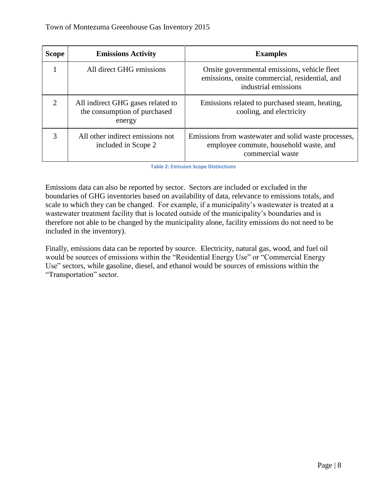| <b>Scope</b>                | <b>Emissions Activity</b>                                                   | <b>Examples</b>                                                                                                        |  |  |
|-----------------------------|-----------------------------------------------------------------------------|------------------------------------------------------------------------------------------------------------------------|--|--|
|                             | All direct GHG emissions                                                    | Onsite governmental emissions, vehicle fleet<br>emissions, onsite commercial, residential, and<br>industrial emissions |  |  |
| $\mathcal{D}_{\mathcal{L}}$ | All indirect GHG gases related to<br>the consumption of purchased<br>energy | Emissions related to purchased steam, heating,<br>cooling, and electricity                                             |  |  |
| 3                           | All other indirect emissions not<br>included in Scope 2                     | Emissions from was tewater and solid was te processes,<br>employee commute, household waste, and<br>commercial waste   |  |  |

**Table 2: Emission Scope Distinctions**

Emissions data can also be reported by sector. Sectors are included or excluded in the boundaries of GHG inventories based on availability of data, relevance to emissions totals, and scale to which they can be changed. For example, if a municipality's wastewater is treated at a wastewater treatment facility that is located outside of the municipality's boundaries and is therefore not able to be changed by the municipality alone, facility emissions do not need to be included in the inventory).

Finally, emissions data can be reported by source. Electricity, natural gas, wood, and fuel oil would be sources of emissions within the "Residential Energy Use" or "Commercial Energy Use" sectors, while gasoline, diesel, and ethanol would be sources of emissions within the "Transportation" sector.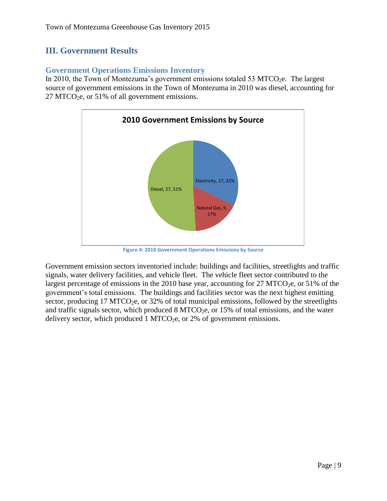## <span id="page-9-0"></span>**III. Government Results**

#### <span id="page-9-1"></span>**Government Operations Emissions Inventory**

In 2010, the Town of Montezuma's government emissions totaled 53 MTCO<sub>2</sub>e. The largest source of government emissions in the Town of Montezuma in 2010 was diesel, accounting for  $27$  MTCO<sub>2</sub>e, or 51% of all government emissions.



**Figure 4: 2010 Government Operations Emissions by Source**

Government emission sectors inventoried include: buildings and facilities, streetlights and traffic signals, water delivery facilities, and vehicle fleet. The vehicle fleet sector contributed to the largest percentage of emissions in the 2010 base year, accounting for 27 MTCO<sub>2</sub>e, or 51% of the government's total emissions. The buildings and facilities sector was the next highest emitting sector, producing  $17 \text{ MTCO}_2$ e, or  $32\%$  of total municipal emissions, followed by the streetlights and traffic signals sector, which produced  $8 MTCO<sub>2</sub>e$ , or 15% of total emissions, and the water delivery sector, which produced 1 MTCO<sub>2</sub>e, or 2% of government emissions.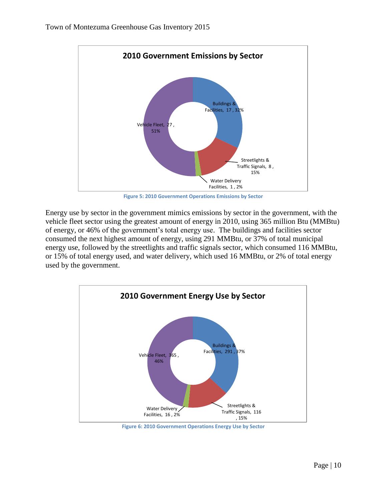

**Figure 5: 2010 Government Operations Emissions by Sector**

Energy use by sector in the government mimics emissions by sector in the government, with the vehicle fleet sector using the greatest amount of energy in 2010, using 365 million Btu (MMBtu) of energy, or 46% of the government's total energy use. The buildings and facilities sector consumed the next highest amount of energy, using 291 MMBtu, or 37% of total municipal energy use, followed by the streetlights and traffic signals sector, which consumed 116 MMBtu, or 15% of total energy used, and water delivery, which used 16 MMBtu, or 2% of total energy used by the government.



**Figure 6: 2010 Government Operations Energy Use by Sector**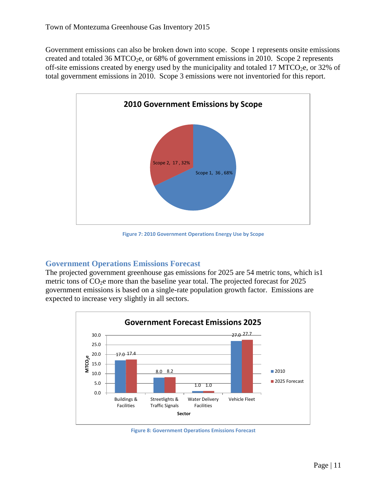Government emissions can also be broken down into scope. Scope 1 represents onsite emissions created and totaled 36 MTCO<sub>2</sub>e, or 68% of government emissions in 2010. Scope 2 represents off-site emissions created by energy used by the municipality and totaled 17 MTCO<sub>2</sub>e, or 32% of total government emissions in 2010. Scope 3 emissions were not inventoried for this report.



**Figure 7: 2010 Government Operations Energy Use by Scope**

#### <span id="page-11-0"></span>**Government Operations Emissions Forecast**

The projected government greenhouse gas emissions for 2025 are 54 metric tons, which is1 metric tons of  $CO<sub>2</sub>e$  more than the baseline year total. The projected forecast for 2025 government emissions is based on a single-rate population growth factor. Emissions are expected to increase very slightly in all sectors.



**Figure 8: Government Operations Emissions Forecast**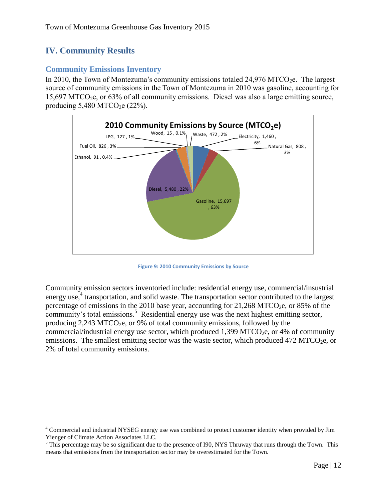## <span id="page-12-0"></span>**IV. Community Results**

 $\overline{\phantom{a}}$ 

#### <span id="page-12-1"></span>**Community Emissions Inventory**

In 2010, the Town of Montezuma's community emissions totaled  $24,976$  MTCO<sub>2</sub>e. The largest source of community emissions in the Town of Montezuma in 2010 was gasoline, accounting for  $15,697$  MTCO<sub>2</sub>e, or 63% of all community emissions. Diesel was also a large emitting source, producing  $5,480$  MTCO<sub>2</sub>e (22%).



**Figure 9: 2010 Community Emissions by Source**

Community emission sectors inventoried include: residential energy use, commercial/insustrial energy use,<sup>4</sup> transportation, and solid waste. The transportation sector contributed to the largest percentage of emissions in the 2010 base year, accounting for  $21,268$  MTCO<sub>2</sub>e, or 85% of the community's total emissions.<sup>5</sup> Residential energy use was the next highest emitting sector, producing  $2,243$  MTCO<sub>2</sub>e, or 9% of total community emissions, followed by the commercial/industrial energy use sector, which produced  $1,399$  MTCO<sub>2</sub>e, or 4% of community emissions. The smallest emitting sector was the waste sector, which produced  $472$  MTCO<sub>2</sub>e, or 2% of total community emissions.

<sup>4</sup> Commercial and industrial NYSEG energy use was combined to protect customer identity when provided by Jim Yienger of Climate Action Associates LLC.

<sup>&</sup>lt;sup>5</sup> This percentage may be so significant due to the presence of I90, NYS Thruway that runs through the Town. This means that emissions from the transportation sector may be overestimated for the Town.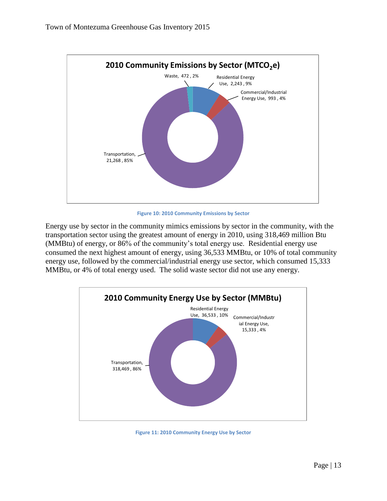

**Figure 10: 2010 Community Emissions by Sector**

Energy use by sector in the community mimics emissions by sector in the community, with the transportation sector using the greatest amount of energy in 2010, using 318,469 million Btu (MMBtu) of energy, or 86% of the community's total energy use. Residential energy use consumed the next highest amount of energy, using 36,533 MMBtu, or 10% of total community energy use, followed by the commercial/industrial energy use sector, which consumed 15,333 MMBtu, or 4% of total energy used. The solid waste sector did not use any energy.



**Figure 11: 2010 Community Energy Use by Sector**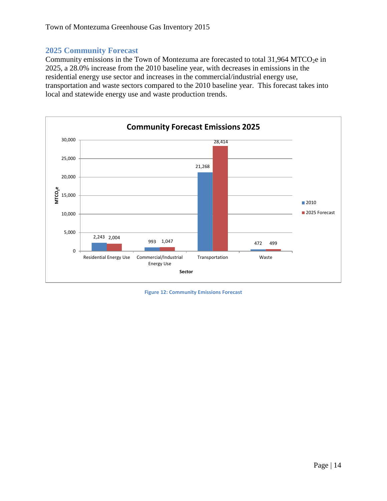#### <span id="page-14-0"></span>**2025 Community Forecast**

Community emissions in the Town of Montezuma are forecasted to total  $31,964$  MTCO<sub>2</sub>e in 2025, a 28.0% increase from the 2010 baseline year, with decreases in emissions in the residential energy use sector and increases in the commercial/industrial energy use, transportation and waste sectors compared to the 2010 baseline year. This forecast takes into local and statewide energy use and waste production trends.



**Figure 12: Community Emissions Forecast**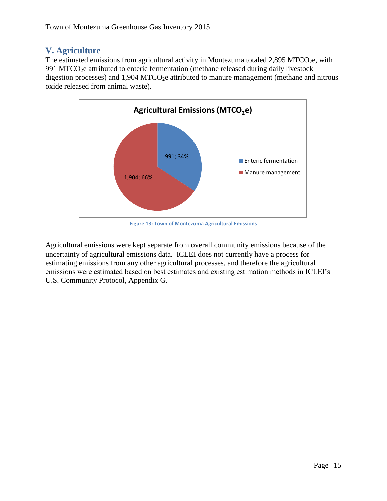## <span id="page-15-0"></span>**V. Agriculture**

The estimated emissions from agricultural activity in Montezuma totaled  $2,895$  MTCO<sub>2</sub>e, with 991 MTCO<sub>2</sub>e attributed to enteric fermentation (methane released during daily livestock digestion processes) and  $1,904$  MTCO<sub>2</sub>e attributed to manure management (methane and nitrous oxide released from animal waste).



**Figure 13: Town of Montezuma Agricultural Emissions**

Agricultural emissions were kept separate from overall community emissions because of the uncertainty of agricultural emissions data. ICLEI does not currently have a process for estimating emissions from any other agricultural processes, and therefore the agricultural emissions were estimated based on best estimates and existing estimation methods in ICLEI's U.S. Community Protocol, Appendix G.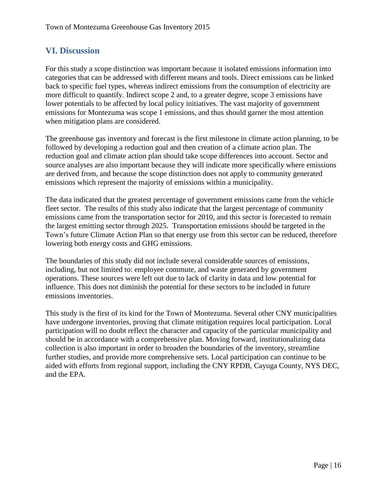## <span id="page-16-0"></span>**VI. Discussion**

For this study a scope distinction was important because it isolated emissions information into categories that can be addressed with different means and tools. Direct emissions can be linked back to specific fuel types, whereas indirect emissions from the consumption of electricity are more difficult to quantify. Indirect scope 2 and, to a greater degree, scope 3 emissions have lower potentials to be affected by local policy initiatives. The vast majority of government emissions for Montezuma was scope 1 emissions, and thus should garner the most attention when mitigation plans are considered.

The greenhouse gas inventory and forecast is the first milestone in climate action planning, to be followed by developing a reduction goal and then creation of a climate action plan. The reduction goal and climate action plan should take scope differences into account. Sector and source analyses are also important because they will indicate more specifically where emissions are derived from, and because the scope distinction does not apply to community generated emissions which represent the majority of emissions within a municipality.

The data indicated that the greatest percentage of government emissions came from the vehicle fleet sector. The results of this study also indicate that the largest percentage of community emissions came from the transportation sector for 2010, and this sector is forecasted to remain the largest emitting sector through 2025. Transportation emissions should be targeted in the Town's future Climate Action Plan so that energy use from this sector can be reduced, therefore lowering both energy costs and GHG emissions.

The boundaries of this study did not include several considerable sources of emissions, including, but not limited to: employee commute, and waste generated by government operations. These sources were left out due to lack of clarity in data and low potential for influence. This does not diminish the potential for these sectors to be included in future emissions inventories.

This study is the first of its kind for the Town of Montezuma. Several other CNY municipalities have undergone inventories, proving that climate mitigation requires local participation. Local participation will no doubt reflect the character and capacity of the particular municipality and should be in accordance with a comprehensive plan. Moving forward, institutionalizing data collection is also important in order to broaden the boundaries of the inventory, streamline further studies, and provide more comprehensive sets. Local participation can continue to be aided with efforts from regional support, including the CNY RPDB, Cayuga County, NYS DEC, and the EPA.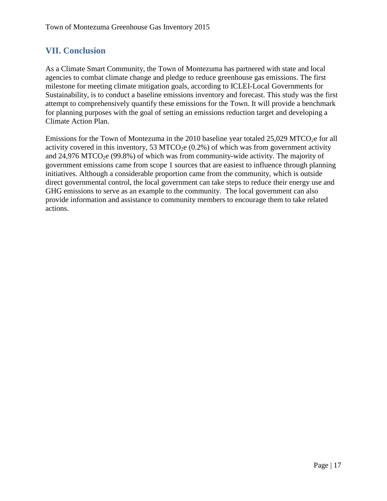## <span id="page-17-0"></span>**VII. Conclusion**

As a Climate Smart Community, the Town of Montezuma has partnered with state and local agencies to combat climate change and pledge to reduce greenhouse gas emissions. The first milestone for meeting climate mitigation goals, according to ICLEI-Local Governments for Sustainability, is to conduct a baseline emissions inventory and forecast. This study was the first attempt to comprehensively quantify these emissions for the Town. It will provide a benchmark for planning purposes with the goal of setting an emissions reduction target and developing a Climate Action Plan.

Emissions for the Town of Montezuma in the 2010 baseline year totaled  $25,029$  MTCO<sub>2</sub>e for all activity covered in this inventory, 53 MTCO<sub>2</sub>e  $(0.2\%)$  of which was from government activity and  $24,976$  MTCO<sub>2</sub>e (99.8%) of which was from community-wide activity. The majority of government emissions came from scope 1 sources that are easiest to influence through planning initiatives. Although a considerable proportion came from the community, which is outside direct governmental control, the local government can take steps to reduce their energy use and GHG emissions to serve as an example to the community. The local government can also provide information and assistance to community members to encourage them to take related actions.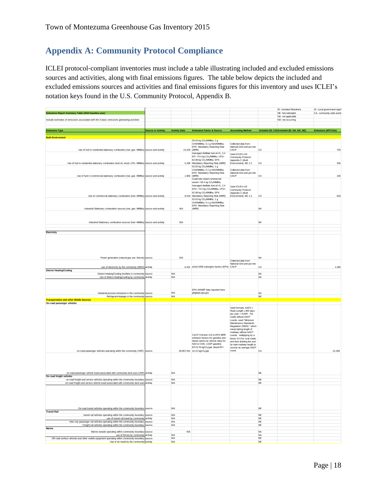## <span id="page-18-0"></span>**Appendix A: Community Protocol Compliance**

ICLEI protocol‐compliant inventories must include a table illustrating included and excluded emissions sources and activities, along with final emissions figures. The table below depicts the included and excluded emissions sources and activities and final emissions figures for this inventory and uses ICLEI's notation keys found in the U.S. Community Protocol, Appendix B.

| NA- not applicable<br>Include estimates of emissions associated with the 5 basic emissions generating activities<br>NO- not occurring<br><b>Source or Activity</b><br><b>Activity Data</b><br><b>Emissions Factor &amp; Source</b><br><b>Accounting Method</b><br>Included (SI, CA) Excluded (IE, NA, NO, NE)<br><b>Emissions Type</b><br><b>Built Environment</b><br>53.02 kg CO <sub>2</sub> /MMBtu; 1 g<br>CH4/MMBtu; 0.1 g N2O/MMBtu;<br>Collected data from<br>EPA Mandatory Reporting Rule<br>National Grid and nut into<br>Use of fuel in residential stationary combustion (nat. gas- MMBtu) source and activity<br>13,229 (MRR)<br>CACP<br>CA<br>Averaged distillate fuel oil #1, 2,4<br>Used ICLEI's US<br>EF= 74.5 kg CO <sub>2</sub> /MMBtu; LPG=<br>Community Protocol<br>62.98 kg CO2/MMBtu; EPA<br>Appendix C (Built<br>5,186 Mandatory Reporting Rule (MRR)<br>Environment), BE 1.2<br>Use of fuel in residential stationary combustion (fuel oil, wood, LPG- MMBtu) source and activity<br>CA<br>53.02 kg CO <sub>2</sub> /MMBtu; 1 g<br>CH4/MMBtu; 0.1 g N2O/MMBtu;<br>Collected data from<br>EPA Mandatory Reporting Rule<br>National Grid and put into<br>1,982 (MRR)<br>CACP<br>CA<br>Use of fuel in commercial stationary combustion (nat. gas- MMBtu) source and activity<br>Coal/coke mixed commercial<br>sector= 93.4 kg CO2/MMBtu;<br>Averaged distillate fuel oil #1, 2,4<br>Used ICLEI's US<br>EFs= 74.5 kg CO <sub>2</sub> /MMBtu; LPG=<br>Community Protocol<br>62.98 kg CO <sub>2</sub> /MMBtu; EPA<br>Appendix C (Built<br>Use of commercial stationary combustion (fuel- MMBtu) source and activity<br>9,519 Mandatory Reporting Rule (MRR)<br>Environment), BE 1.3<br>CA<br>53.02 kg CO <sub>2</sub> /MMBtu; 1 g<br>CH4/MMBtu; 0.1 g N2O/MMBtu;<br>EPA Mandatory Reporting Rule<br>Industrial Stationary combustion sources (nat. gas- MMBtu) source and activity<br>N/A<br>(MRR)<br><b>NA</b><br>N/A<br><b>NA</b><br>Industrial Stationary combustion sources (fuel- MMBtu) source and activity<br>Electricity<br>N/A<br>Power generation (natural gas use- therms) source<br><b>NA</b><br>Collected data from<br>National Grid and put into<br>6,431 eGrid 2009 subregion factors (EPA) CACP<br>use of electricity by the community (MWh) activity<br>CA<br><b>District Heating/Cooling</b><br>N/A<br><b>NA</b><br>District Heating/Cooling facilities in community source<br>Use of district heating/cooling by community activity<br>N/A<br><b>NA</b><br>EPA GHGRP data reported here:<br>N/A<br>Industrial process emissions in the community source<br>ghgdata.epa.gov<br><b>NA</b><br>NE<br>Refrigerant leakage in the community source<br><b>N/A</b><br><b>Transportation and other Mobile Sources</b><br>On-road passenger vehicles<br>Used formula: AADT x<br>Road Length x 365 days<br>per year = AVMT. For<br>roads without AADT<br>counts, used "Minimum<br>Maintenance Standards<br>Regulation 239/02," which<br>meant taking length of<br>roadway without AADT<br>CACP (Version 3.0) & EPA MRR<br>counts, multiplying by a<br>emission factors for gasoline and<br>factor of 6 for rural roads,<br>diesel (varies by vehicle class for<br>and then dividing the sum<br>N2O & CH4): LGOP gasoline<br>by total roadway length to<br>EF=8.78 kgCO2/gal; diesel EF=<br>receive an average AADT<br>count.<br>on-road passenger vehicles operating within the community (VMT) source<br>45,857,041 10.21 kgCO2/gal<br>CA<br><b>NE</b><br>on-road passenger vehicle travel associated with community land uses (VMT) activity<br>N/A<br>On-road freight vehicles<br>on-road freight and service vehicles operating within the community boundary source<br>N/A<br>$_{\rm NE}$<br>on-road freight and service vehicle travel associated with community land uses<br>activity<br><b>N/A</b><br><b>NE</b> | SI- Local government signit<br>CA- community-wide activit |
|--------------------------------------------------------------------------------------------------------------------------------------------------------------------------------------------------------------------------------------------------------------------------------------------------------------------------------------------------------------------------------------------------------------------------------------------------------------------------------------------------------------------------------------------------------------------------------------------------------------------------------------------------------------------------------------------------------------------------------------------------------------------------------------------------------------------------------------------------------------------------------------------------------------------------------------------------------------------------------------------------------------------------------------------------------------------------------------------------------------------------------------------------------------------------------------------------------------------------------------------------------------------------------------------------------------------------------------------------------------------------------------------------------------------------------------------------------------------------------------------------------------------------------------------------------------------------------------------------------------------------------------------------------------------------------------------------------------------------------------------------------------------------------------------------------------------------------------------------------------------------------------------------------------------------------------------------------------------------------------------------------------------------------------------------------------------------------------------------------------------------------------------------------------------------------------------------------------------------------------------------------------------------------------------------------------------------------------------------------------------------------------------------------------------------------------------------------------------------------------------------------------------------------------------------------------------------------------------------------------------------------------------------------------------------------------------------------------------------------------------------------------------------------------------------------------------------------------------------------------------------------------------------------------------------------------------------------------------------------------------------------------------------------------------------------------------------------------------------------------------------------------------------------------------------------------------------------------------------------------------------------------------------------------------------------------------------------------------------------------------------------------------------------------------------------------------------------------------------------------------------------------------------------------------------------------------------------------------------------------------------------------------------------------------------------------------------------------------------------------------------------------------------------------------------------------------------------------------------|-----------------------------------------------------------|
|                                                                                                                                                                                                                                                                                                                                                                                                                                                                                                                                                                                                                                                                                                                                                                                                                                                                                                                                                                                                                                                                                                                                                                                                                                                                                                                                                                                                                                                                                                                                                                                                                                                                                                                                                                                                                                                                                                                                                                                                                                                                                                                                                                                                                                                                                                                                                                                                                                                                                                                                                                                                                                                                                                                                                                                                                                                                                                                                                                                                                                                                                                                                                                                                                                                                                                                                                                                                                                                                                                                                                                                                                                                                                                                                                                                                                                                  |                                                           |
|                                                                                                                                                                                                                                                                                                                                                                                                                                                                                                                                                                                                                                                                                                                                                                                                                                                                                                                                                                                                                                                                                                                                                                                                                                                                                                                                                                                                                                                                                                                                                                                                                                                                                                                                                                                                                                                                                                                                                                                                                                                                                                                                                                                                                                                                                                                                                                                                                                                                                                                                                                                                                                                                                                                                                                                                                                                                                                                                                                                                                                                                                                                                                                                                                                                                                                                                                                                                                                                                                                                                                                                                                                                                                                                                                                                                                                                  | Emissions (MTCO2e)                                        |
|                                                                                                                                                                                                                                                                                                                                                                                                                                                                                                                                                                                                                                                                                                                                                                                                                                                                                                                                                                                                                                                                                                                                                                                                                                                                                                                                                                                                                                                                                                                                                                                                                                                                                                                                                                                                                                                                                                                                                                                                                                                                                                                                                                                                                                                                                                                                                                                                                                                                                                                                                                                                                                                                                                                                                                                                                                                                                                                                                                                                                                                                                                                                                                                                                                                                                                                                                                                                                                                                                                                                                                                                                                                                                                                                                                                                                                                  |                                                           |
|                                                                                                                                                                                                                                                                                                                                                                                                                                                                                                                                                                                                                                                                                                                                                                                                                                                                                                                                                                                                                                                                                                                                                                                                                                                                                                                                                                                                                                                                                                                                                                                                                                                                                                                                                                                                                                                                                                                                                                                                                                                                                                                                                                                                                                                                                                                                                                                                                                                                                                                                                                                                                                                                                                                                                                                                                                                                                                                                                                                                                                                                                                                                                                                                                                                                                                                                                                                                                                                                                                                                                                                                                                                                                                                                                                                                                                                  | 703                                                       |
|                                                                                                                                                                                                                                                                                                                                                                                                                                                                                                                                                                                                                                                                                                                                                                                                                                                                                                                                                                                                                                                                                                                                                                                                                                                                                                                                                                                                                                                                                                                                                                                                                                                                                                                                                                                                                                                                                                                                                                                                                                                                                                                                                                                                                                                                                                                                                                                                                                                                                                                                                                                                                                                                                                                                                                                                                                                                                                                                                                                                                                                                                                                                                                                                                                                                                                                                                                                                                                                                                                                                                                                                                                                                                                                                                                                                                                                  | 335                                                       |
|                                                                                                                                                                                                                                                                                                                                                                                                                                                                                                                                                                                                                                                                                                                                                                                                                                                                                                                                                                                                                                                                                                                                                                                                                                                                                                                                                                                                                                                                                                                                                                                                                                                                                                                                                                                                                                                                                                                                                                                                                                                                                                                                                                                                                                                                                                                                                                                                                                                                                                                                                                                                                                                                                                                                                                                                                                                                                                                                                                                                                                                                                                                                                                                                                                                                                                                                                                                                                                                                                                                                                                                                                                                                                                                                                                                                                                                  | 105                                                       |
|                                                                                                                                                                                                                                                                                                                                                                                                                                                                                                                                                                                                                                                                                                                                                                                                                                                                                                                                                                                                                                                                                                                                                                                                                                                                                                                                                                                                                                                                                                                                                                                                                                                                                                                                                                                                                                                                                                                                                                                                                                                                                                                                                                                                                                                                                                                                                                                                                                                                                                                                                                                                                                                                                                                                                                                                                                                                                                                                                                                                                                                                                                                                                                                                                                                                                                                                                                                                                                                                                                                                                                                                                                                                                                                                                                                                                                                  |                                                           |
|                                                                                                                                                                                                                                                                                                                                                                                                                                                                                                                                                                                                                                                                                                                                                                                                                                                                                                                                                                                                                                                                                                                                                                                                                                                                                                                                                                                                                                                                                                                                                                                                                                                                                                                                                                                                                                                                                                                                                                                                                                                                                                                                                                                                                                                                                                                                                                                                                                                                                                                                                                                                                                                                                                                                                                                                                                                                                                                                                                                                                                                                                                                                                                                                                                                                                                                                                                                                                                                                                                                                                                                                                                                                                                                                                                                                                                                  | 633                                                       |
|                                                                                                                                                                                                                                                                                                                                                                                                                                                                                                                                                                                                                                                                                                                                                                                                                                                                                                                                                                                                                                                                                                                                                                                                                                                                                                                                                                                                                                                                                                                                                                                                                                                                                                                                                                                                                                                                                                                                                                                                                                                                                                                                                                                                                                                                                                                                                                                                                                                                                                                                                                                                                                                                                                                                                                                                                                                                                                                                                                                                                                                                                                                                                                                                                                                                                                                                                                                                                                                                                                                                                                                                                                                                                                                                                                                                                                                  |                                                           |
|                                                                                                                                                                                                                                                                                                                                                                                                                                                                                                                                                                                                                                                                                                                                                                                                                                                                                                                                                                                                                                                                                                                                                                                                                                                                                                                                                                                                                                                                                                                                                                                                                                                                                                                                                                                                                                                                                                                                                                                                                                                                                                                                                                                                                                                                                                                                                                                                                                                                                                                                                                                                                                                                                                                                                                                                                                                                                                                                                                                                                                                                                                                                                                                                                                                                                                                                                                                                                                                                                                                                                                                                                                                                                                                                                                                                                                                  |                                                           |
|                                                                                                                                                                                                                                                                                                                                                                                                                                                                                                                                                                                                                                                                                                                                                                                                                                                                                                                                                                                                                                                                                                                                                                                                                                                                                                                                                                                                                                                                                                                                                                                                                                                                                                                                                                                                                                                                                                                                                                                                                                                                                                                                                                                                                                                                                                                                                                                                                                                                                                                                                                                                                                                                                                                                                                                                                                                                                                                                                                                                                                                                                                                                                                                                                                                                                                                                                                                                                                                                                                                                                                                                                                                                                                                                                                                                                                                  |                                                           |
|                                                                                                                                                                                                                                                                                                                                                                                                                                                                                                                                                                                                                                                                                                                                                                                                                                                                                                                                                                                                                                                                                                                                                                                                                                                                                                                                                                                                                                                                                                                                                                                                                                                                                                                                                                                                                                                                                                                                                                                                                                                                                                                                                                                                                                                                                                                                                                                                                                                                                                                                                                                                                                                                                                                                                                                                                                                                                                                                                                                                                                                                                                                                                                                                                                                                                                                                                                                                                                                                                                                                                                                                                                                                                                                                                                                                                                                  |                                                           |
|                                                                                                                                                                                                                                                                                                                                                                                                                                                                                                                                                                                                                                                                                                                                                                                                                                                                                                                                                                                                                                                                                                                                                                                                                                                                                                                                                                                                                                                                                                                                                                                                                                                                                                                                                                                                                                                                                                                                                                                                                                                                                                                                                                                                                                                                                                                                                                                                                                                                                                                                                                                                                                                                                                                                                                                                                                                                                                                                                                                                                                                                                                                                                                                                                                                                                                                                                                                                                                                                                                                                                                                                                                                                                                                                                                                                                                                  | 1,460                                                     |
|                                                                                                                                                                                                                                                                                                                                                                                                                                                                                                                                                                                                                                                                                                                                                                                                                                                                                                                                                                                                                                                                                                                                                                                                                                                                                                                                                                                                                                                                                                                                                                                                                                                                                                                                                                                                                                                                                                                                                                                                                                                                                                                                                                                                                                                                                                                                                                                                                                                                                                                                                                                                                                                                                                                                                                                                                                                                                                                                                                                                                                                                                                                                                                                                                                                                                                                                                                                                                                                                                                                                                                                                                                                                                                                                                                                                                                                  |                                                           |
|                                                                                                                                                                                                                                                                                                                                                                                                                                                                                                                                                                                                                                                                                                                                                                                                                                                                                                                                                                                                                                                                                                                                                                                                                                                                                                                                                                                                                                                                                                                                                                                                                                                                                                                                                                                                                                                                                                                                                                                                                                                                                                                                                                                                                                                                                                                                                                                                                                                                                                                                                                                                                                                                                                                                                                                                                                                                                                                                                                                                                                                                                                                                                                                                                                                                                                                                                                                                                                                                                                                                                                                                                                                                                                                                                                                                                                                  |                                                           |
|                                                                                                                                                                                                                                                                                                                                                                                                                                                                                                                                                                                                                                                                                                                                                                                                                                                                                                                                                                                                                                                                                                                                                                                                                                                                                                                                                                                                                                                                                                                                                                                                                                                                                                                                                                                                                                                                                                                                                                                                                                                                                                                                                                                                                                                                                                                                                                                                                                                                                                                                                                                                                                                                                                                                                                                                                                                                                                                                                                                                                                                                                                                                                                                                                                                                                                                                                                                                                                                                                                                                                                                                                                                                                                                                                                                                                                                  |                                                           |
|                                                                                                                                                                                                                                                                                                                                                                                                                                                                                                                                                                                                                                                                                                                                                                                                                                                                                                                                                                                                                                                                                                                                                                                                                                                                                                                                                                                                                                                                                                                                                                                                                                                                                                                                                                                                                                                                                                                                                                                                                                                                                                                                                                                                                                                                                                                                                                                                                                                                                                                                                                                                                                                                                                                                                                                                                                                                                                                                                                                                                                                                                                                                                                                                                                                                                                                                                                                                                                                                                                                                                                                                                                                                                                                                                                                                                                                  |                                                           |
|                                                                                                                                                                                                                                                                                                                                                                                                                                                                                                                                                                                                                                                                                                                                                                                                                                                                                                                                                                                                                                                                                                                                                                                                                                                                                                                                                                                                                                                                                                                                                                                                                                                                                                                                                                                                                                                                                                                                                                                                                                                                                                                                                                                                                                                                                                                                                                                                                                                                                                                                                                                                                                                                                                                                                                                                                                                                                                                                                                                                                                                                                                                                                                                                                                                                                                                                                                                                                                                                                                                                                                                                                                                                                                                                                                                                                                                  |                                                           |
|                                                                                                                                                                                                                                                                                                                                                                                                                                                                                                                                                                                                                                                                                                                                                                                                                                                                                                                                                                                                                                                                                                                                                                                                                                                                                                                                                                                                                                                                                                                                                                                                                                                                                                                                                                                                                                                                                                                                                                                                                                                                                                                                                                                                                                                                                                                                                                                                                                                                                                                                                                                                                                                                                                                                                                                                                                                                                                                                                                                                                                                                                                                                                                                                                                                                                                                                                                                                                                                                                                                                                                                                                                                                                                                                                                                                                                                  | 21,268                                                    |
|                                                                                                                                                                                                                                                                                                                                                                                                                                                                                                                                                                                                                                                                                                                                                                                                                                                                                                                                                                                                                                                                                                                                                                                                                                                                                                                                                                                                                                                                                                                                                                                                                                                                                                                                                                                                                                                                                                                                                                                                                                                                                                                                                                                                                                                                                                                                                                                                                                                                                                                                                                                                                                                                                                                                                                                                                                                                                                                                                                                                                                                                                                                                                                                                                                                                                                                                                                                                                                                                                                                                                                                                                                                                                                                                                                                                                                                  |                                                           |
|                                                                                                                                                                                                                                                                                                                                                                                                                                                                                                                                                                                                                                                                                                                                                                                                                                                                                                                                                                                                                                                                                                                                                                                                                                                                                                                                                                                                                                                                                                                                                                                                                                                                                                                                                                                                                                                                                                                                                                                                                                                                                                                                                                                                                                                                                                                                                                                                                                                                                                                                                                                                                                                                                                                                                                                                                                                                                                                                                                                                                                                                                                                                                                                                                                                                                                                                                                                                                                                                                                                                                                                                                                                                                                                                                                                                                                                  |                                                           |
|                                                                                                                                                                                                                                                                                                                                                                                                                                                                                                                                                                                                                                                                                                                                                                                                                                                                                                                                                                                                                                                                                                                                                                                                                                                                                                                                                                                                                                                                                                                                                                                                                                                                                                                                                                                                                                                                                                                                                                                                                                                                                                                                                                                                                                                                                                                                                                                                                                                                                                                                                                                                                                                                                                                                                                                                                                                                                                                                                                                                                                                                                                                                                                                                                                                                                                                                                                                                                                                                                                                                                                                                                                                                                                                                                                                                                                                  |                                                           |
|                                                                                                                                                                                                                                                                                                                                                                                                                                                                                                                                                                                                                                                                                                                                                                                                                                                                                                                                                                                                                                                                                                                                                                                                                                                                                                                                                                                                                                                                                                                                                                                                                                                                                                                                                                                                                                                                                                                                                                                                                                                                                                                                                                                                                                                                                                                                                                                                                                                                                                                                                                                                                                                                                                                                                                                                                                                                                                                                                                                                                                                                                                                                                                                                                                                                                                                                                                                                                                                                                                                                                                                                                                                                                                                                                                                                                                                  |                                                           |
| $N\mathsf{E}$<br>On-road transit vehicles operating within the community boundary source<br>N/A                                                                                                                                                                                                                                                                                                                                                                                                                                                                                                                                                                                                                                                                                                                                                                                                                                                                                                                                                                                                                                                                                                                                                                                                                                                                                                                                                                                                                                                                                                                                                                                                                                                                                                                                                                                                                                                                                                                                                                                                                                                                                                                                                                                                                                                                                                                                                                                                                                                                                                                                                                                                                                                                                                                                                                                                                                                                                                                                                                                                                                                                                                                                                                                                                                                                                                                                                                                                                                                                                                                                                                                                                                                                                                                                                  |                                                           |
| <b>Transit Rail</b><br>N/A<br>NE<br>transit rail vehicles operating within the community boundary source                                                                                                                                                                                                                                                                                                                                                                                                                                                                                                                                                                                                                                                                                                                                                                                                                                                                                                                                                                                                                                                                                                                                                                                                                                                                                                                                                                                                                                                                                                                                                                                                                                                                                                                                                                                                                                                                                                                                                                                                                                                                                                                                                                                                                                                                                                                                                                                                                                                                                                                                                                                                                                                                                                                                                                                                                                                                                                                                                                                                                                                                                                                                                                                                                                                                                                                                                                                                                                                                                                                                                                                                                                                                                                                                         |                                                           |
| use of transit rail travel by community activity<br><b>N/A</b><br><b>NE</b><br>N/A<br><b>NE</b>                                                                                                                                                                                                                                                                                                                                                                                                                                                                                                                                                                                                                                                                                                                                                                                                                                                                                                                                                                                                                                                                                                                                                                                                                                                                                                                                                                                                                                                                                                                                                                                                                                                                                                                                                                                                                                                                                                                                                                                                                                                                                                                                                                                                                                                                                                                                                                                                                                                                                                                                                                                                                                                                                                                                                                                                                                                                                                                                                                                                                                                                                                                                                                                                                                                                                                                                                                                                                                                                                                                                                                                                                                                                                                                                                  |                                                           |
| Inter-city passenger rail vehicles operating within the community boundary source<br>Freight rail vehicles operating within the community boundary source<br>N/A<br>$_{\rm NE}$                                                                                                                                                                                                                                                                                                                                                                                                                                                                                                                                                                                                                                                                                                                                                                                                                                                                                                                                                                                                                                                                                                                                                                                                                                                                                                                                                                                                                                                                                                                                                                                                                                                                                                                                                                                                                                                                                                                                                                                                                                                                                                                                                                                                                                                                                                                                                                                                                                                                                                                                                                                                                                                                                                                                                                                                                                                                                                                                                                                                                                                                                                                                                                                                                                                                                                                                                                                                                                                                                                                                                                                                                                                                  |                                                           |
| Marine<br><b>N/A</b><br><b>NA</b>                                                                                                                                                                                                                                                                                                                                                                                                                                                                                                                                                                                                                                                                                                                                                                                                                                                                                                                                                                                                                                                                                                                                                                                                                                                                                                                                                                                                                                                                                                                                                                                                                                                                                                                                                                                                                                                                                                                                                                                                                                                                                                                                                                                                                                                                                                                                                                                                                                                                                                                                                                                                                                                                                                                                                                                                                                                                                                                                                                                                                                                                                                                                                                                                                                                                                                                                                                                                                                                                                                                                                                                                                                                                                                                                                                                                                |                                                           |
| Marine vessels operating within community boundary source<br>N/A<br><b>NA</b><br>use of ferries by community activity                                                                                                                                                                                                                                                                                                                                                                                                                                                                                                                                                                                                                                                                                                                                                                                                                                                                                                                                                                                                                                                                                                                                                                                                                                                                                                                                                                                                                                                                                                                                                                                                                                                                                                                                                                                                                                                                                                                                                                                                                                                                                                                                                                                                                                                                                                                                                                                                                                                                                                                                                                                                                                                                                                                                                                                                                                                                                                                                                                                                                                                                                                                                                                                                                                                                                                                                                                                                                                                                                                                                                                                                                                                                                                                            |                                                           |
| Off-road surface vehicles and other mobile equipment operating within community boundary source<br><b>N/A</b><br>NE<br>N/A<br><b>NE</b><br>Use of air travel by the community activity                                                                                                                                                                                                                                                                                                                                                                                                                                                                                                                                                                                                                                                                                                                                                                                                                                                                                                                                                                                                                                                                                                                                                                                                                                                                                                                                                                                                                                                                                                                                                                                                                                                                                                                                                                                                                                                                                                                                                                                                                                                                                                                                                                                                                                                                                                                                                                                                                                                                                                                                                                                                                                                                                                                                                                                                                                                                                                                                                                                                                                                                                                                                                                                                                                                                                                                                                                                                                                                                                                                                                                                                                                                           |                                                           |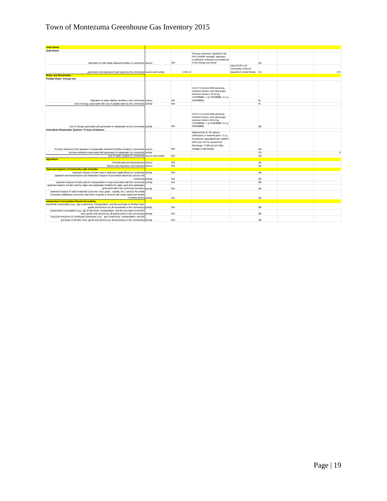## Town of Montezuma Greenhouse Gas Inventory 2015

| <b>Solid Waste</b>                                                                                                                                                          |          |            |                                                 |                            |           |              |
|-----------------------------------------------------------------------------------------------------------------------------------------------------------------------------|----------|------------|-------------------------------------------------|----------------------------|-----------|--------------|
| Solid Waste                                                                                                                                                                 |          |            |                                                 |                            |           |              |
|                                                                                                                                                                             |          |            | Process emissions reported to the               |                            |           |              |
|                                                                                                                                                                             |          |            | EPA GHGRP annually; stationary                  |                            |           |              |
|                                                                                                                                                                             |          |            | combustion emissions accounted for              |                            |           |              |
| Operation of solid waste disposal facilities in community source                                                                                                            |          | <b>N/A</b> | in the energy use sector                        |                            | <b>NA</b> |              |
|                                                                                                                                                                             |          |            |                                                 | Used ICLEI's US            |           |              |
|                                                                                                                                                                             |          |            |                                                 | Community Protocol         |           |              |
| generation and disposal of solid waste by the community source and activity                                                                                                 |          | 1,016.11   |                                                 | Appendix E (Solid Waste CA |           | 472          |
| <b>Water and Wastewater</b>                                                                                                                                                 |          |            |                                                 |                            |           |              |
| Potable Water- Energy Use                                                                                                                                                   |          |            |                                                 |                            |           |              |
|                                                                                                                                                                             |          |            |                                                 |                            |           |              |
|                                                                                                                                                                             |          |            |                                                 |                            |           |              |
|                                                                                                                                                                             |          |            | CACP 3.0 eGrid 2009 electricity                 |                            |           |              |
|                                                                                                                                                                             |          |            | emission factors; and natural gas               |                            |           |              |
|                                                                                                                                                                             |          |            | emission factors= 53.02 kg                      |                            |           |              |
|                                                                                                                                                                             |          |            | CO2/MMBtu; 1 g CH4/MMBtu; 0.1 g                 |                            |           |              |
| Operation of water delivery facilities in the community source                                                                                                              |          | <b>N/A</b> | N2O/MMBtu                                       |                            | IE.       |              |
| Use of energy associated with use of potable water by the community activity                                                                                                |          | N/A        |                                                 |                            | IE.       |              |
|                                                                                                                                                                             |          |            |                                                 |                            |           |              |
|                                                                                                                                                                             |          |            |                                                 |                            |           |              |
|                                                                                                                                                                             |          |            | CACP 3.0 eGrid 2009 electricity                 |                            |           |              |
|                                                                                                                                                                             |          |            | emission factors; and natural gas               |                            |           |              |
|                                                                                                                                                                             |          |            | emission factors=53.02 kg                       |                            |           |              |
|                                                                                                                                                                             |          |            | CO2/MMBtu: 1 a CH4/MMBtu: 0.1 a                 |                            |           |              |
| Use of energy associated with generation of wastewater by the community activity                                                                                            |          | <b>N/A</b> | N2O/MMBtu                                       |                            | <b>NE</b> |              |
| <b>Centralized Wastewater Systems- Process Emissions</b>                                                                                                                    |          |            |                                                 |                            |           |              |
|                                                                                                                                                                             |          |            | Method WW.8= EF without                         |                            |           |              |
|                                                                                                                                                                             |          |            | nitrification or denitrification= 3.2 g         |                            |           |              |
|                                                                                                                                                                             |          |            | N <sub>2</sub> O/person equivalent/year; Method |                            |           |              |
|                                                                                                                                                                             |          |            | WW.12a= EF for stream/river                     |                            |           |              |
|                                                                                                                                                                             |          |            | discharge= 0.005 kg N <sub>2</sub> O-N/kg       |                            |           |              |
| Process emissions from operation of wastewater treatment facilities located in community source                                                                             |          | <b>N/A</b> | sewage-N discharged                             |                            | <b>NE</b> |              |
| process emissions associated with generation of wastewater by community                                                                                                     | activity |            |                                                 |                            | CA        | $\mathbf{0}$ |
| Use of septic systems in community source and activity                                                                                                                      |          | <b>N/A</b> |                                                 |                            | <b>NA</b> |              |
| <b>Agriculture</b>                                                                                                                                                          |          |            |                                                 |                            |           |              |
| Domesticated animal production source                                                                                                                                       |          | <b>N/A</b> |                                                 |                            | <b>NF</b> |              |
| Manure decomposition and treatment source                                                                                                                                   |          | <b>N/A</b> |                                                 |                            | <b>NE</b> |              |
| <b>Upstream Impacts of Community-wide Activities</b>                                                                                                                        |          |            |                                                 |                            |           |              |
|                                                                                                                                                                             |          | <b>N/A</b> |                                                 |                            | <b>NE</b> |              |
| Upstream impacts of fuels used in stationary applications by community activity<br>upstream and transmissions and distribution impacts of purchased electricity used by the |          |            |                                                 |                            |           |              |
| community activity                                                                                                                                                          |          | <b>N/A</b> |                                                 |                            | <b>NE</b> |              |
| upstream impacts of fuels used for transportation in trips associated with the community activity                                                                           |          | <b>N/A</b> |                                                 |                            | <b>NE</b> |              |
| upstream impacts of fuels used by water and wastewater facilities for water used and wastewater                                                                             |          |            |                                                 |                            |           |              |
| generated within the community boundary activity                                                                                                                            |          | <b>N/A</b> |                                                 |                            | <b>NE</b> |              |
| Upstream impacts of select materials (concrete, food, paper, carpets, etc.) used by the whole                                                                               |          |            |                                                 |                            |           |              |
| community (additional community-wide flows of goods & services will create significant double                                                                               |          |            |                                                 |                            |           |              |
| counting issues) activity                                                                                                                                                   |          | <b>N/A</b> |                                                 |                            | <b>NE</b> |              |
| <b>Independent Consumption-Based Accounting</b>                                                                                                                             |          |            |                                                 |                            |           |              |
| Household consumption (e.g., gas & electricity, transportation, and the purchase of all other food                                                                          |          |            |                                                 |                            |           |              |
| goods and services by all households in the community) activity                                                                                                             |          | <b>N/A</b> |                                                 |                            | <b>NE</b> |              |
| Government consumption (e.g., gas & electricity, transportation, and the purchase of all other                                                                              |          |            |                                                 |                            |           |              |
| food, goods and services by all governments in the community) activity                                                                                                      |          | <b>N/A</b> |                                                 |                            | <b>NE</b> |              |
| Lifecycle emissions of community businesses (e.g., gas & electricity, transportation, and the                                                                               |          |            |                                                 |                            |           |              |
| purchase of all other food, goods and services by all businesses in the community) activity                                                                                 |          | <b>N/A</b> |                                                 |                            | <b>NE</b> |              |
|                                                                                                                                                                             |          |            |                                                 |                            |           |              |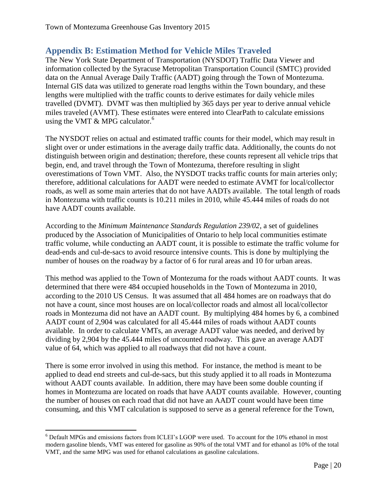## <span id="page-20-0"></span>**Appendix B: Estimation Method for Vehicle Miles Traveled**

The New York State Department of Transportation (NYSDOT) Traffic Data Viewer and information collected by the Syracuse Metropolitan Transportation Council (SMTC) provided data on the Annual Average Daily Traffic (AADT) going through the Town of Montezuma. Internal GIS data was utilized to generate road lengths within the Town boundary, and these lengths were multiplied with the traffic counts to derive estimates for daily vehicle miles travelled (DVMT). DVMT was then multiplied by 365 days per year to derive annual vehicle miles traveled (AVMT). These estimates were entered into ClearPath to calculate emissions using the VMT  $&$  MPG calculator.<sup>6</sup>

The NYSDOT relies on actual and estimated traffic counts for their model, which may result in slight over or under estimations in the average daily traffic data. Additionally, the counts do not distinguish between origin and destination; therefore, these counts represent all vehicle trips that begin, end, and travel through the Town of Montezuma, therefore resulting in slight overestimations of Town VMT. Also, the NYSDOT tracks traffic counts for main arteries only; therefore, additional calculations for AADT were needed to estimate AVMT for local/collector roads, as well as some main arteries that do not have AADTs available. The total length of roads in Montezuma with traffic counts is 10.211 miles in 2010, while 45.444 miles of roads do not have AADT counts available.

According to the *Minimum Maintenance Standards Regulation 239/02*, a set of guidelines produced by the Association of Municipalities of Ontario to help local communities estimate traffic volume, while conducting an AADT count, it is possible to estimate the traffic volume for dead-ends and cul-de-sacs to avoid resource intensive counts. This is done by multiplying the number of houses on the roadway by a factor of 6 for rural areas and 10 for urban areas.

This method was applied to the Town of Montezuma for the roads without AADT counts. It was determined that there were 484 occupied households in the Town of Montezuma in 2010, according to the 2010 US Census. It was assumed that all 484 homes are on roadways that do not have a count, since most houses are on local/collector roads and almost all local/collector roads in Montezuma did not have an AADT count. By multiplying 484 homes by 6, a combined AADT count of 2,904 was calculated for all 45.444 miles of roads without AADT counts available. In order to calculate VMTs, an average AADT value was needed, and derived by dividing by 2,904 by the 45.444 miles of uncounted roadway. This gave an average AADT value of 64, which was applied to all roadways that did not have a count.

There is some error involved in using this method. For instance, the method is meant to be applied to dead end streets and cul-de-sacs, but this study applied it to all roads in Montezuma without AADT counts available. In addition, there may have been some double counting if homes in Montezuma are located on roads that have AADT counts available. However, counting the number of houses on each road that did not have an AADT count would have been time consuming, and this VMT calculation is supposed to serve as a general reference for the Town,

 $\overline{\phantom{a}}$ 

<sup>6</sup> Default MPGs and emissions factors from ICLEI's LGOP were used. To account for the 10% ethanol in most modern gasoline blends, VMT was entered for gasoline as 90% of the total VMT and for ethanol as 10% of the total VMT, and the same MPG was used for ethanol calculations as gasoline calculations.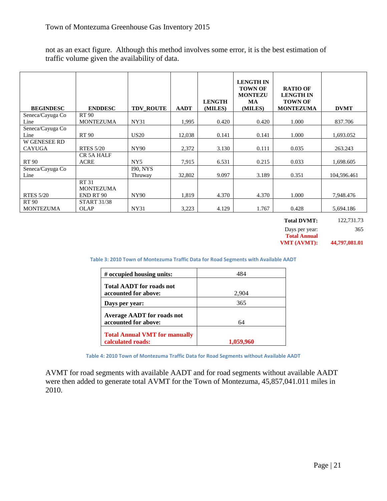not as an exact figure. Although this method involves some error, it is the best estimation of traffic volume given the availability of data.

| <b>BEGINDESC</b>          | <b>ENDDESC</b>                               | <b>TDV ROUTE</b>           | <b>AADT</b> | <b>LENGTH</b><br>(MILES) | <b>LENGTH IN</b><br><b>TOWN OF</b><br><b>MONTEZU</b><br>MA<br>(MILES) | <b>RATIO OF</b><br><b>LENGTH IN</b><br><b>TOWN OF</b><br><b>MONTEZUMA</b> | <b>DVMT</b> |
|---------------------------|----------------------------------------------|----------------------------|-------------|--------------------------|-----------------------------------------------------------------------|---------------------------------------------------------------------------|-------------|
| Seneca/Cayuga Co          | RT 90                                        |                            |             |                          |                                                                       |                                                                           |             |
| Line                      | <b>MONTEZUMA</b>                             | NY31                       | 1,995       | 0.420                    | 0.420                                                                 | 1.000                                                                     | 837.706     |
| Seneca/Cayuga Co<br>Line  | <b>RT90</b>                                  | <b>US20</b>                | 12,038      | 0.141                    | 0.141                                                                 | 1.000                                                                     | 1,693.052   |
| <b>W GENESEE RD</b>       |                                              |                            |             |                          |                                                                       |                                                                           |             |
| CAYUGA                    | <b>RTES 5/20</b>                             | <b>NY90</b>                | 2,372       | 3.130                    | 0.111                                                                 | 0.035                                                                     | 263.243     |
|                           | CR <sub>5</sub> A HALF                       |                            |             |                          |                                                                       |                                                                           |             |
| RT 90                     | <b>ACRE</b>                                  | NY <sub>5</sub>            | 7,915       | 6.531                    | 0.215                                                                 | 0.033                                                                     | 1,698.605   |
| Seneca/Cayuga Co<br>Line  |                                              | <b>I90, NYS</b><br>Thruway | 32,802      | 9.097                    | 3.189                                                                 | 0.351                                                                     | 104,596.461 |
| <b>RTES 5/20</b>          | <b>RT31</b><br><b>MONTEZUMA</b><br>END RT 90 | NY90                       | 1,819       | 4.370                    | 4.370                                                                 | 1.000                                                                     | 7,948.476   |
|                           |                                              |                            |             |                          |                                                                       |                                                                           |             |
| RT 90<br><b>MONTEZUMA</b> | <b>START 31/38</b><br><b>OLAP</b>            | <b>NY31</b>                | 3,223       | 4.129                    | 1.767                                                                 | 0.428                                                                     | 5,694.186   |

**Total DVMT:** 122,731.73 Days per year: 365 **Total Annual VMT (AVMT): 44,797,081.01**

**Table 3: 2010 Town of Montezuma Traffic Data for Road Segments with Available AADT**

| # occupied housing units:                                 | 484       |
|-----------------------------------------------------------|-----------|
| <b>Total AADT</b> for roads not<br>accounted for above:   | 2,904     |
| Days per year:                                            | 365       |
| <b>Average AADT for roads not</b><br>accounted for above: | 64        |
| <b>Total Annual VMT for manually</b><br>calculated roads: | 1,059,960 |

**Table 4: 2010 Town of Montezuma Traffic Data for Road Segments without Available AADT**

AVMT for road segments with available AADT and for road segments without available AADT were then added to generate total AVMT for the Town of Montezuma, 45,857,041.011 miles in 2010.